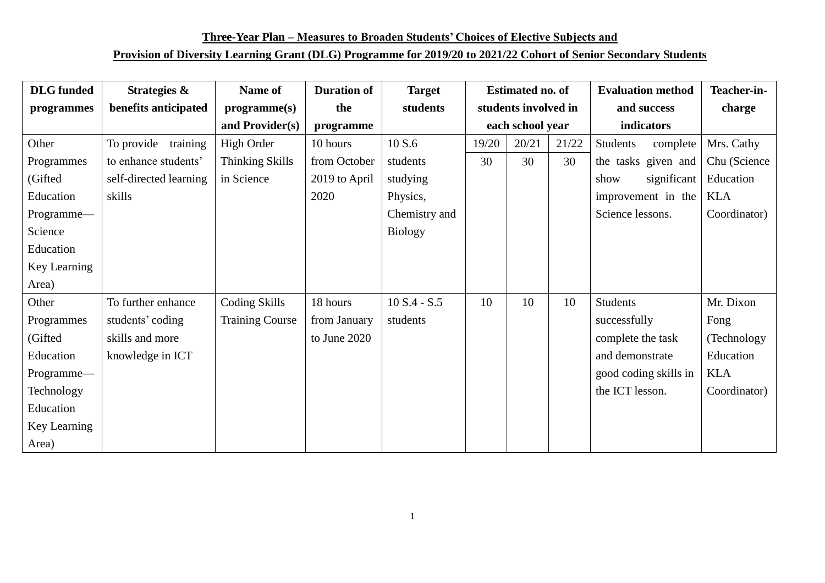**Three-Year Plan – Measures to Broaden Students' Choices of Elective Subjects and**

## **Provision of Diversity Learning Grant (DLG) Programme for 2019/20 to 2021/22 Cohort of Senior Secondary Students**

| <b>DLG</b> funded | Strategies &           | Name of                | <b>Duration of</b> | <b>Target</b>  | <b>Estimated no. of</b> |       |       | <b>Evaluation method</b> | Teacher-in-  |
|-------------------|------------------------|------------------------|--------------------|----------------|-------------------------|-------|-------|--------------------------|--------------|
| programmes        | benefits anticipated   | programme(s)           | the                | students       | students involved in    |       |       | and success              | charge       |
|                   |                        | and Provider(s)        | programme          |                | each school year        |       |       | indicators               |              |
| Other             | To provide<br>training | High Order             | 10 hours           | 10 S.6         | 19/20                   | 20/21 | 21/22 | Students<br>complete     | Mrs. Cathy   |
| Programmes        | to enhance students'   | <b>Thinking Skills</b> | from October       | students       | 30                      | 30    | 30    | the tasks given and      | Chu (Science |
| (Gifted           | self-directed learning | in Science             | 2019 to April      | studying       |                         |       |       | significant<br>show      | Education    |
| Education         | skills                 |                        | 2020               | Physics,       |                         |       |       | improvement in the       | <b>KLA</b>   |
| Programme-        |                        |                        |                    | Chemistry and  |                         |       |       | Science lessons.         | Coordinator) |
| Science           |                        |                        |                    | <b>Biology</b> |                         |       |       |                          |              |
| Education         |                        |                        |                    |                |                         |       |       |                          |              |
| Key Learning      |                        |                        |                    |                |                         |       |       |                          |              |
| Area)             |                        |                        |                    |                |                         |       |       |                          |              |
| Other             | To further enhance     | Coding Skills          | 18 hours           | $10 S.4 - S.5$ | 10                      | 10    | 10    | <b>Students</b>          | Mr. Dixon    |
| Programmes        | students' coding       | <b>Training Course</b> | from January       | students       |                         |       |       | successfully             | Fong         |
| (Gifted           | skills and more        |                        | to June 2020       |                |                         |       |       | complete the task        | (Technology) |
| Education         | knowledge in ICT       |                        |                    |                |                         |       |       | and demonstrate          | Education    |
| Programme—        |                        |                        |                    |                |                         |       |       | good coding skills in    | KLA          |
| Technology        |                        |                        |                    |                |                         |       |       | the ICT lesson.          | Coordinator) |
| Education         |                        |                        |                    |                |                         |       |       |                          |              |
| Key Learning      |                        |                        |                    |                |                         |       |       |                          |              |
| Area)             |                        |                        |                    |                |                         |       |       |                          |              |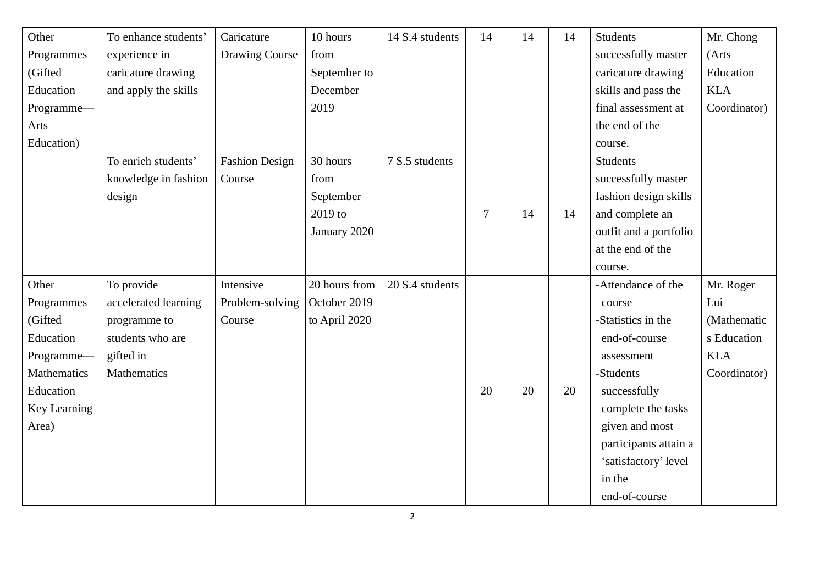| Other        | To enhance students' | Caricature            | 10 hours      | 14 S.4 students | 14             | 14 | 14 | <b>Students</b>        | Mr. Chong    |
|--------------|----------------------|-----------------------|---------------|-----------------|----------------|----|----|------------------------|--------------|
| Programmes   | experience in        | Drawing Course        | from          |                 |                |    |    | successfully master    | (Arts        |
| (Gifted      | caricature drawing   |                       | September to  |                 |                |    |    | caricature drawing     | Education    |
| Education    | and apply the skills |                       | December      |                 |                |    |    | skills and pass the    | <b>KLA</b>   |
| Programme-   |                      |                       | 2019          |                 |                |    |    | final assessment at    | Coordinator) |
| Arts         |                      |                       |               |                 |                |    |    | the end of the         |              |
| Education)   |                      |                       |               |                 |                |    |    | course.                |              |
|              | To enrich students'  | <b>Fashion Design</b> | 30 hours      | 7 S.5 students  |                |    |    | <b>Students</b>        |              |
|              | knowledge in fashion | Course                | from          |                 |                |    |    | successfully master    |              |
|              | design               |                       | September     |                 |                |    |    | fashion design skills  |              |
|              |                      |                       | 2019 to       |                 | $\overline{7}$ | 14 | 14 | and complete an        |              |
|              |                      |                       | January 2020  |                 |                |    |    | outfit and a portfolio |              |
|              |                      |                       |               |                 |                |    |    | at the end of the      |              |
|              |                      |                       |               |                 |                |    |    | course.                |              |
| Other        | To provide           | Intensive             | 20 hours from | 20 S.4 students |                |    |    | -Attendance of the     | Mr. Roger    |
| Programmes   | accelerated learning | Problem-solving       | October 2019  |                 |                |    |    | course                 | Lui          |
| (Gifted      | programme to         | Course                | to April 2020 |                 |                |    |    | -Statistics in the     | (Mathematic  |
| Education    | students who are     |                       |               |                 |                |    |    | end-of-course          | s Education  |
| Programme-   | gifted in            |                       |               |                 |                |    |    | assessment             | <b>KLA</b>   |
| Mathematics  | <b>Mathematics</b>   |                       |               |                 |                |    |    | -Students              | Coordinator) |
| Education    |                      |                       |               |                 | 20             | 20 | 20 | successfully           |              |
| Key Learning |                      |                       |               |                 |                |    |    | complete the tasks     |              |
| Area)        |                      |                       |               |                 |                |    |    | given and most         |              |
|              |                      |                       |               |                 |                |    |    | participants attain a  |              |
|              |                      |                       |               |                 |                |    |    | 'satisfactory' level   |              |
|              |                      |                       |               |                 |                |    |    | in the                 |              |
|              |                      |                       |               |                 |                |    |    | end-of-course          |              |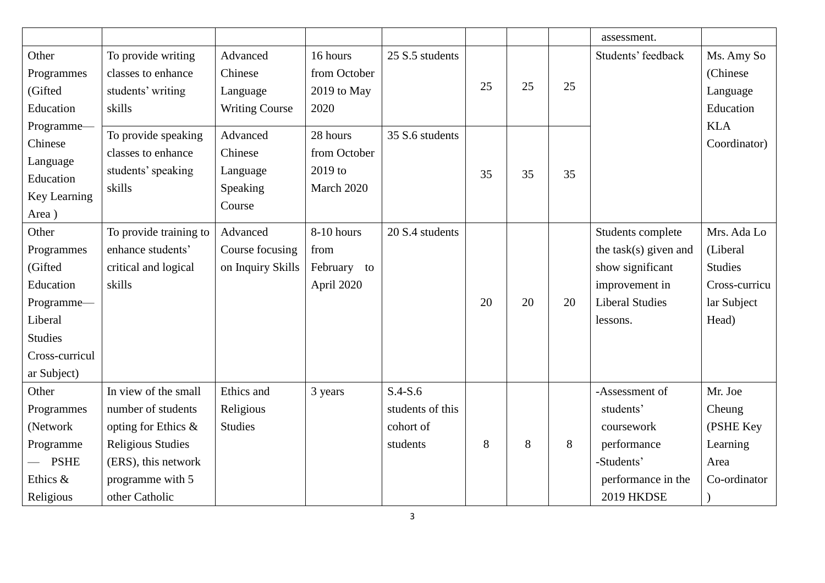|                                                                                                                         |                                                                                                                                                            |                                                       |                                                   |                                                        |    |    |    | assessment.                                                                                                            |                                                                                    |
|-------------------------------------------------------------------------------------------------------------------------|------------------------------------------------------------------------------------------------------------------------------------------------------------|-------------------------------------------------------|---------------------------------------------------|--------------------------------------------------------|----|----|----|------------------------------------------------------------------------------------------------------------------------|------------------------------------------------------------------------------------|
| Other                                                                                                                   | To provide writing                                                                                                                                         | Advanced                                              | 16 hours                                          | 25 S.5 students                                        |    |    |    | Students' feedback                                                                                                     | Ms. Amy So                                                                         |
| Programmes                                                                                                              | classes to enhance                                                                                                                                         | Chinese                                               | from October                                      |                                                        |    |    |    |                                                                                                                        | (Chinese)                                                                          |
| (Gifted                                                                                                                 | students' writing                                                                                                                                          | Language                                              | 2019 to May                                       |                                                        | 25 | 25 | 25 |                                                                                                                        | Language                                                                           |
| Education                                                                                                               | skills                                                                                                                                                     | <b>Writing Course</b>                                 | 2020                                              |                                                        |    |    |    |                                                                                                                        | Education                                                                          |
| Programme-<br>Chinese<br>Language<br>Education<br>Key Learning<br>Area)                                                 | To provide speaking<br>classes to enhance<br>students' speaking<br>skills                                                                                  | Advanced<br>Chinese<br>Language<br>Speaking<br>Course | 28 hours<br>from October<br>2019 to<br>March 2020 | 35 S.6 students                                        | 35 | 35 | 35 |                                                                                                                        | <b>KLA</b><br>Coordinator)                                                         |
| Other<br>Programmes<br>(Gifted<br>Education<br>Programme-<br>Liberal<br><b>Studies</b><br>Cross-curricul<br>ar Subject) | To provide training to<br>enhance students'<br>critical and logical<br>skills                                                                              | Advanced<br>Course focusing<br>on Inquiry Skills      | 8-10 hours<br>from<br>February to<br>April 2020   | 20 S.4 students                                        | 20 | 20 | 20 | Students complete<br>the task(s) given and<br>show significant<br>improvement in<br><b>Liberal Studies</b><br>lessons. | Mrs. Ada Lo<br>(Liberal<br><b>Studies</b><br>Cross-curricu<br>lar Subject<br>Head) |
| Other<br>Programmes<br>(Network<br>Programme<br><b>PSHE</b><br>Ethics &<br>Religious                                    | In view of the small<br>number of students<br>opting for Ethics &<br><b>Religious Studies</b><br>(ERS), this network<br>programme with 5<br>other Catholic | Ethics and<br>Religious<br><b>Studies</b>             | 3 years                                           | $S.4-S.6$<br>students of this<br>cohort of<br>students | 8  | 8  | 8  | -Assessment of<br>students'<br>coursework<br>performance<br>-Students'<br>performance in the<br>2019 HKDSE             | Mr. Joe<br>Cheung<br>(PSHE Key<br>Learning<br>Area<br>Co-ordinator                 |